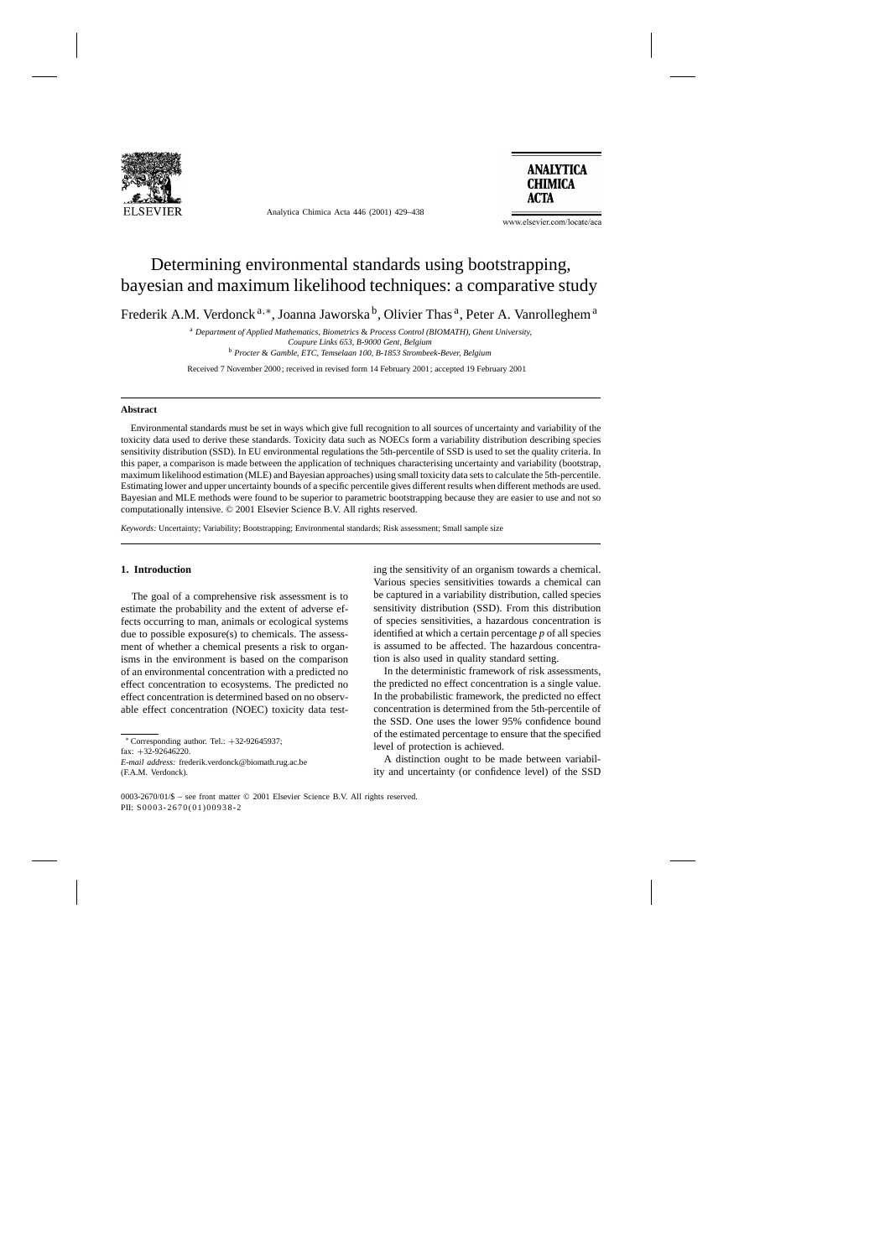

Analytica Chimica Acta 446 (2001) 429–438



www.elsevier.com/locate/aca

# Determining environmental standards using bootstrapping, bayesian and maximum likelihood techniques: a comparative study

Frederik A.M. Verdonck<sup>a,∗</sup>, Joanna Jaworska<sup>b</sup>, Olivier Thas<sup>a</sup>, Peter A. Vanrolleghem<sup>a</sup>

<sup>a</sup> *Department of Applied Mathematics, Biometrics* & *Process Control (BIOMATH), Ghent University, Coupure Links 653, B-9000 Gent, Belgium* <sup>b</sup> *Procter* & *Gamble, ETC, Temselaan 100, B-1853 Strombeek-Bever, Belgium*

Received 7 November 2000; received in revised form 14 February 2001; accepted 19 February 2001

#### **Abstract**

Environmental standards must be set in ways which give full recognition to all sources of uncertainty and variability of the toxicity data used to derive these standards. Toxicity data such as NOECs form a variability distribution describing species sensitivity distribution (SSD). In EU environmental regulations the 5th-percentile of SSD is used to set the quality criteria. In this paper, a comparison is made between the application of techniques characterising uncertainty and variability (bootstrap, maximum likelihood estimation (MLE) and Bayesian approaches) using small toxicity data sets to calculate the 5th-percentile. Estimating lower and upper uncertainty bounds of a specific percentile gives different results when different methods are used. Bayesian and MLE methods were found to be superior to parametric bootstrapping because they are easier to use and not so computationally intensive. © 2001 Elsevier Science B.V. All rights reserved.

*Keywords:* Uncertainty; Variability; Bootstrapping; Environmental standards; Risk assessment; Small sample size

# **1. Introduction**

The goal of a comprehensive risk assessment is to estimate the probability and the extent of adverse effects occurring to man, animals or ecological systems due to possible exposure(s) to chemicals. The assessment of whether a chemical presents a risk to organisms in the environment is based on the comparison of an environmental concentration with a predicted no effect concentration to ecosystems. The predicted no effect concentration is determined based on no observable effect concentration (NOEC) toxicity data test-

fax: +32-92646220.

*E-mail address:* frederik.verdonck@biomath.rug.ac.be (F.A.M. Verdonck).

ing the sensitivity of an organism towards a chemical. Various species sensitivities towards a chemical can be captured in a variability distribution, called species sensitivity distribution (SSD). From this distribution of species sensitivities, a hazardous concentration is identified at which a certain percentage *p* of all species is assumed to be affected. The hazardous concentration is also used in quality standard setting.

In the deterministic framework of risk assessments, the predicted no effect concentration is a single value. In the probabilistic framework, the predicted no effect concentration is determined from the 5th-percentile of the SSD. One uses the lower 95% confidence bound of the estimated percentage to ensure that the specified level of protection is achieved.

A distinction ought to be made between variability and uncertainty (or confidence level) of the SSD

<sup>∗</sup> Corresponding author. Tel.: +32-92645937;

<sup>0003-2670/01/\$ –</sup> see front matter © 2001 Elsevier Science B.V. All rights reserved. PII: S0003-2670(01)00938-2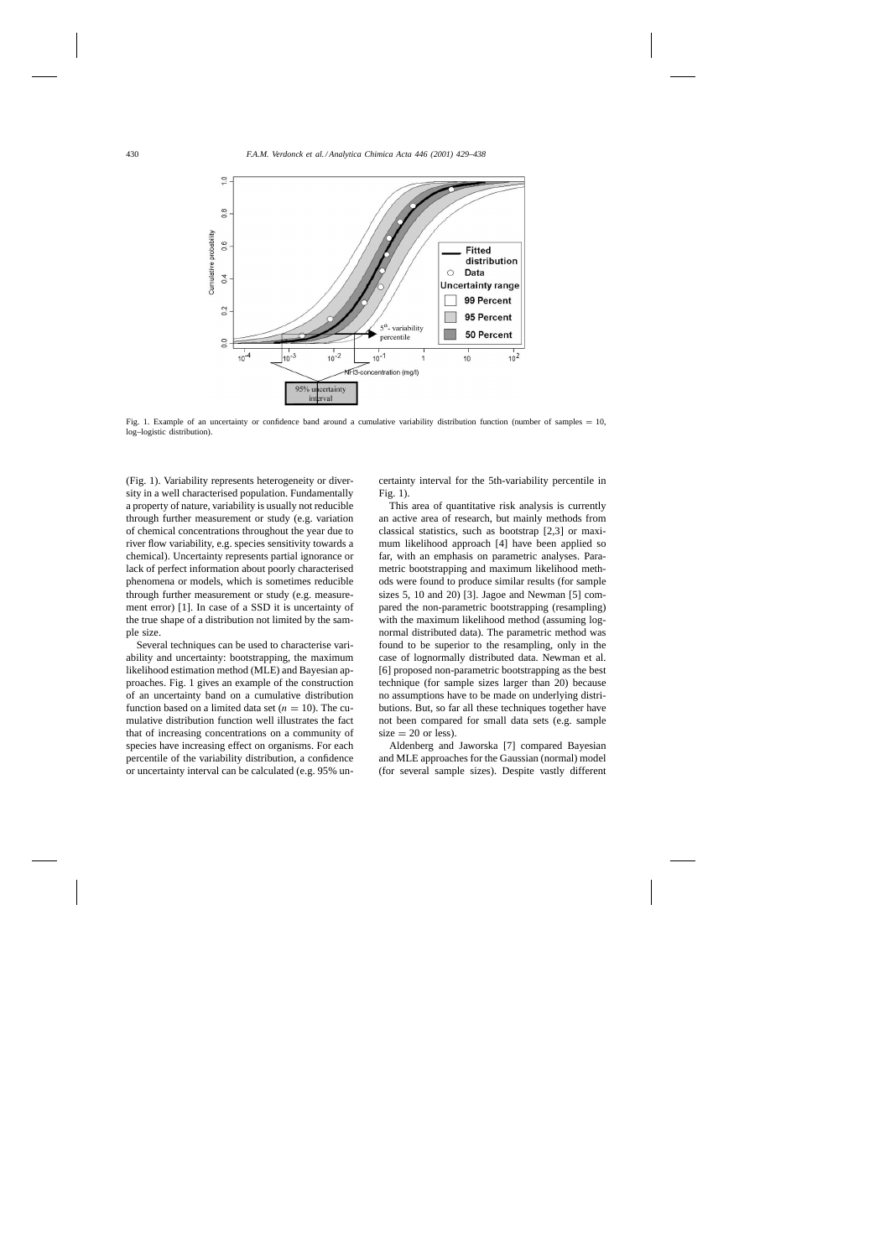

Fig. 1. Example of an uncertainty or confidence band around a cumulative variability distribution function (number of samples  $= 10$ , log–logistic distribution).

(Fig. 1). Variability represents heterogeneity or diversity in a well characterised population. Fundamentally a property of nature, variability is usually not reducible through further measurement or study (e.g. variation of chemical concentrations throughout the year due to river flow variability, e.g. species sensitivity towards a chemical). Uncertainty represents partial ignorance or lack of perfect information about poorly characterised phenomena or models, which is sometimes reducible through further measurement or study (e.g. measurement error) [1]. In case of a SSD it is uncertainty of the true shape of a distribution not limited by the sample size.

Several techniques can be used to characterise variability and uncertainty: bootstrapping, the maximum likelihood estimation method (MLE) and Bayesian approaches. Fig. 1 gives an example of the construction of an uncertainty band on a cumulative distribution function based on a limited data set ( $n = 10$ ). The cumulative distribution function well illustrates the fact that of increasing concentrations on a community of species have increasing effect on organisms. For each percentile of the variability distribution, a confidence or uncertainty interval can be calculated (e.g. 95% uncertainty interval for the 5th-variability percentile in Fig. 1).

This area of quantitative risk analysis is currently an active area of research, but mainly methods from classical statistics, such as bootstrap [2,3] or maximum likelihood approach [4] have been applied so far, with an emphasis on parametric analyses. Parametric bootstrapping and maximum likelihood methods were found to produce similar results (for sample sizes 5, 10 and 20) [3]. Jagoe and Newman [5] compared the non-parametric bootstrapping (resampling) with the maximum likelihood method (assuming lognormal distributed data). The parametric method was found to be superior to the resampling, only in the case of lognormally distributed data. Newman et al. [6] proposed non-parametric bootstrapping as the best technique (for sample sizes larger than 20) because no assumptions have to be made on underlying distributions. But, so far all these techniques together have not been compared for small data sets (e.g. sample  $size = 20$  or less).

Aldenberg and Jaworska [7] compared Bayesian and MLE approaches for the Gaussian (normal) model (for several sample sizes). Despite vastly different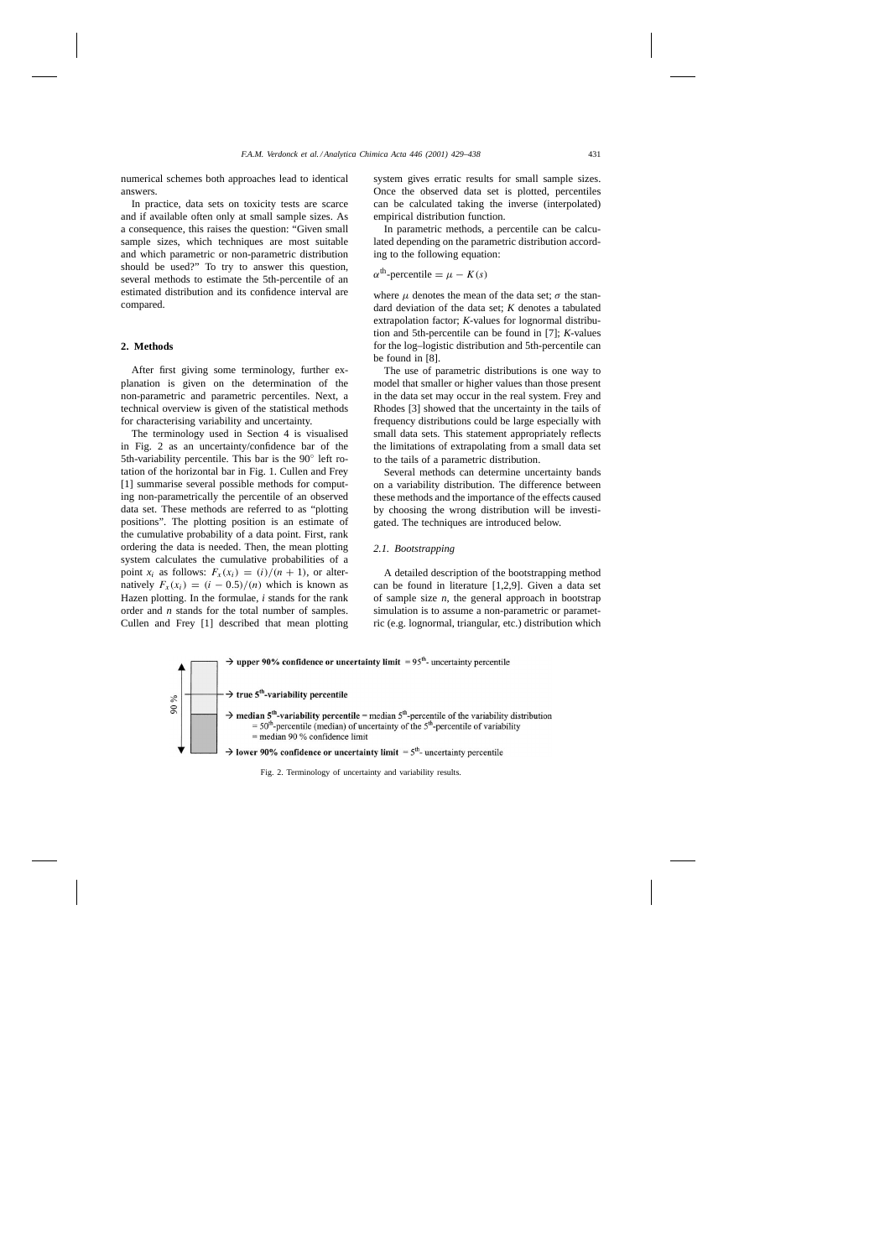numerical schemes both approaches lead to identical answers.

In practice, data sets on toxicity tests are scarce and if available often only at small sample sizes. As a consequence, this raises the question: "Given small sample sizes, which techniques are most suitable and which parametric or non-parametric distribution should be used?" To try to answer this question, several methods to estimate the 5th-percentile of an estimated distribution and its confidence interval are compared.

# **2. Methods**

After first giving some terminology, further explanation is given on the determination of the non-parametric and parametric percentiles. Next, a technical overview is given of the statistical methods for characterising variability and uncertainty.

The terminology used in Section 4 is visualised in Fig. 2 as an uncertainty/confidence bar of the 5th-variability percentile. This bar is the 90<sup>○</sup> left rotation of the horizontal bar in Fig. 1. Cullen and Frey [1] summarise several possible methods for computing non-parametrically the percentile of an observed data set. These methods are referred to as "plotting positions". The plotting position is an estimate of the cumulative probability of a data point. First, rank ordering the data is needed. Then, the mean plotting system calculates the cumulative probabilities of a point  $x_i$  as follows:  $F_x(x_i) = (i)/(n + 1)$ , or alternatively  $F_x(x_i) = (i - 0.5)/(n)$  which is known as Hazen plotting. In the formulae, *i* stands for the rank order and *n* stands for the total number of samples. Cullen and Frey [1] described that mean plotting

system gives erratic results for small sample sizes. Once the observed data set is plotted, percentiles can be calculated taking the inverse (interpolated) empirical distribution function.

In parametric methods, a percentile can be calculated depending on the parametric distribution according to the following equation:

 $\alpha^{th}$ -percentile =  $\mu - K(s)$ 

where  $\mu$  denotes the mean of the data set;  $\sigma$  the standard deviation of the data set; *K* denotes a tabulated extrapolation factor; *K*-values for lognormal distribution and 5th-percentile can be found in [7]; *K*-values for the log–logistic distribution and 5th-percentile can be found in [8].

The use of parametric distributions is one way to model that smaller or higher values than those present in the data set may occur in the real system. Frey and Rhodes [3] showed that the uncertainty in the tails of frequency distributions could be large especially with small data sets. This statement appropriately reflects the limitations of extrapolating from a small data set to the tails of a parametric distribution.

Several methods can determine uncertainty bands on a variability distribution. The difference between these methods and the importance of the effects caused by choosing the wrong distribution will be investigated. The techniques are introduced below.

#### *2.1. Bootstrapping*

A detailed description of the bootstrapping method can be found in literature [1,2,9]. Given a data set of sample size *n*, the general approach in bootstrap simulation is to assume a non-parametric or parametric (e.g. lognormal, triangular, etc.) distribution which



Fig. 2. Terminology of uncertainty and variability results.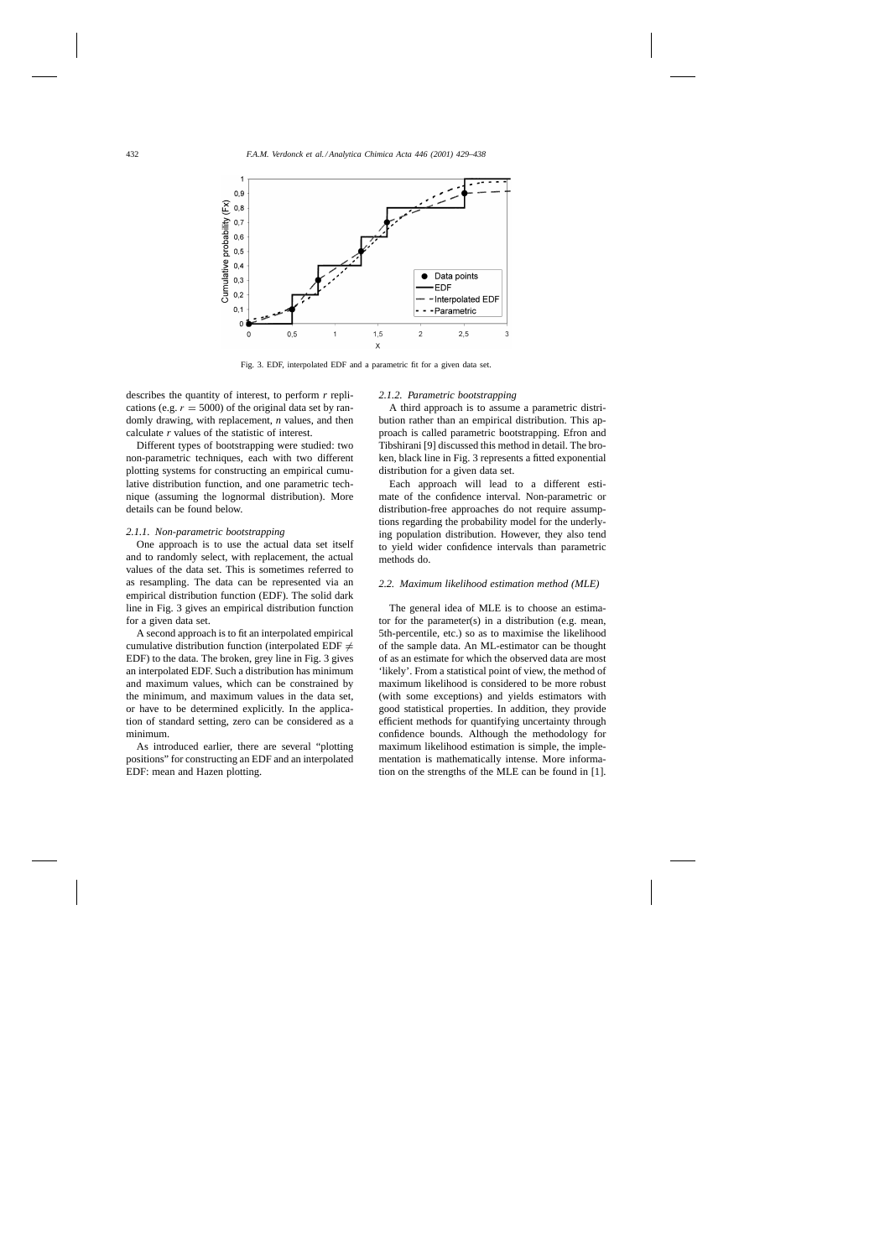

Fig. 3. EDF, interpolated EDF and a parametric fit for a given data set.

describes the quantity of interest, to perform *r* replications (e.g.  $r = 5000$ ) of the original data set by randomly drawing, with replacement, *n* values, and then calculate *r* values of the statistic of interest.

Different types of bootstrapping were studied: two non-parametric techniques, each with two different plotting systems for constructing an empirical cumulative distribution function, and one parametric technique (assuming the lognormal distribution). More details can be found below.

# *2.1.1. Non-parametric bootstrapping*

One approach is to use the actual data set itself and to randomly select, with replacement, the actual values of the data set. This is sometimes referred to as resampling. The data can be represented via an empirical distribution function (EDF). The solid dark line in Fig. 3 gives an empirical distribution function for a given data set.

A second approach is to fit an interpolated empirical cumulative distribution function (interpolated EDF  $\neq$ EDF) to the data. The broken, grey line in Fig. 3 gives an interpolated EDF. Such a distribution has minimum and maximum values, which can be constrained by the minimum, and maximum values in the data set, or have to be determined explicitly. In the application of standard setting, zero can be considered as a minimum.

As introduced earlier, there are several "plotting positions" for constructing an EDF and an interpolated EDF: mean and Hazen plotting.

## *2.1.2. Parametric bootstrapping*

A third approach is to assume a parametric distribution rather than an empirical distribution. This approach is called parametric bootstrapping. Efron and Tibshirani [9] discussed this method in detail. The broken, black line in Fig. 3 represents a fitted exponential distribution for a given data set.

Each approach will lead to a different estimate of the confidence interval. Non-parametric or distribution-free approaches do not require assumptions regarding the probability model for the underlying population distribution. However, they also tend to yield wider confidence intervals than parametric methods do.

# *2.2. Maximum likelihood estimation method (MLE)*

The general idea of MLE is to choose an estimator for the parameter(s) in a distribution (e.g. mean, 5th-percentile, etc.) so as to maximise the likelihood of the sample data. An ML-estimator can be thought of as an estimate for which the observed data are most 'likely'. From a statistical point of view, the method of maximum likelihood is considered to be more robust (with some exceptions) and yields estimators with good statistical properties. In addition, they provide efficient methods for quantifying uncertainty through confidence bounds. Although the methodology for maximum likelihood estimation is simple, the implementation is mathematically intense. More information on the strengths of the MLE can be found in [1].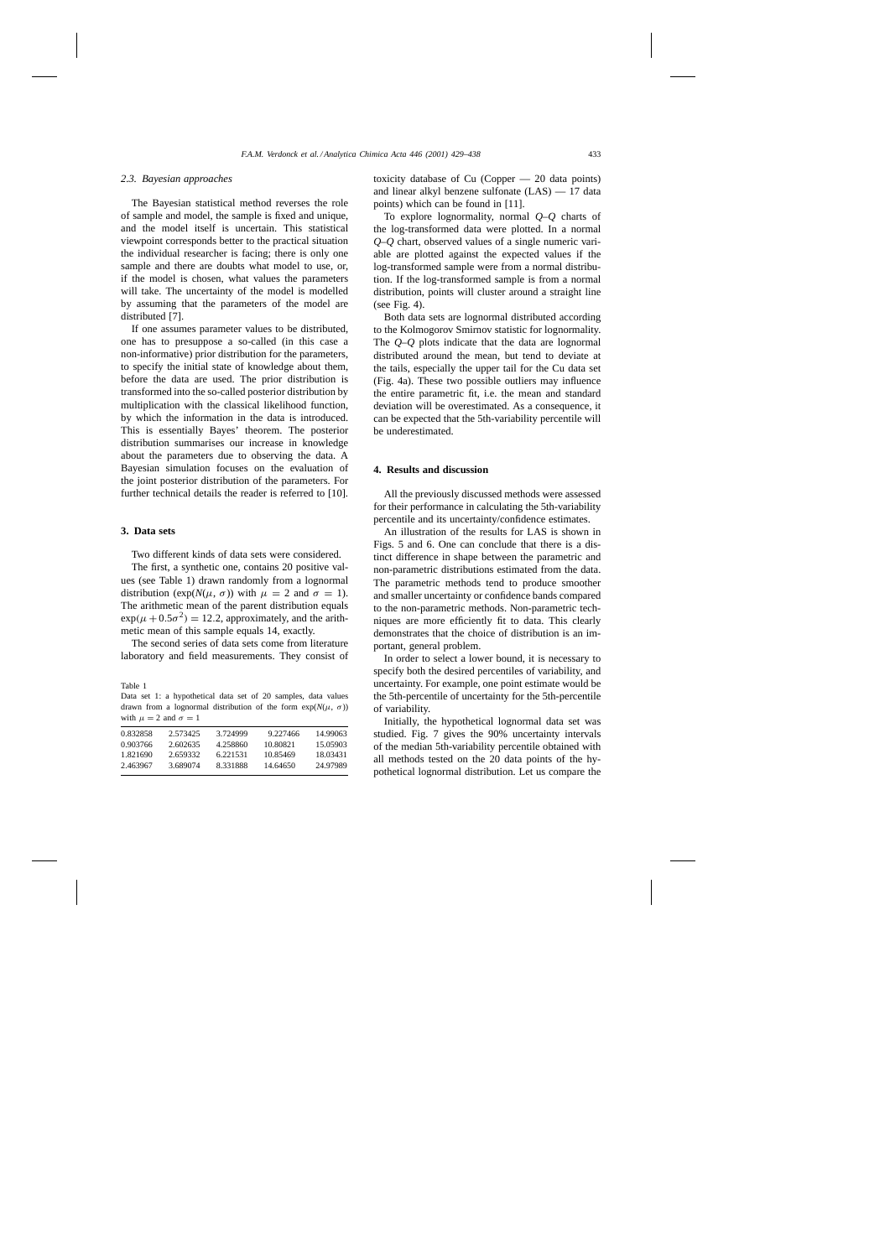# *2.3. Bayesian approaches*

The Bayesian statistical method reverses the role of sample and model, the sample is fixed and unique, and the model itself is uncertain. This statistical viewpoint corresponds better to the practical situation the individual researcher is facing; there is only one sample and there are doubts what model to use, or, if the model is chosen, what values the parameters will take. The uncertainty of the model is modelled by assuming that the parameters of the model are distributed [7].

If one assumes parameter values to be distributed, one has to presuppose a so-called (in this case a non-informative) prior distribution for the parameters, to specify the initial state of knowledge about them, before the data are used. The prior distribution is transformed into the so-called posterior distribution by multiplication with the classical likelihood function, by which the information in the data is introduced. This is essentially Bayes' theorem. The posterior distribution summarises our increase in knowledge about the parameters due to observing the data. A Bayesian simulation focuses on the evaluation of the joint posterior distribution of the parameters. For further technical details the reader is referred to [10].

# **3. Data sets**

Two different kinds of data sets were considered.

The first, a synthetic one, contains 20 positive values (see Table 1) drawn randomly from a lognormal distribution (exp( $N(\mu, \sigma)$ ) with  $\mu = 2$  and  $\sigma = 1$ ). The arithmetic mean of the parent distribution equals  $\exp(\mu + 0.5\sigma^2) = 12.2$ , approximately, and the arithmetic mean of this sample equals 14, exactly.

The second series of data sets come from literature laboratory and field measurements. They consist of

Table 1 Data set 1: a hypothetical data set of 20 samples, data values drawn from a lognormal distribution of the form exp(*N*(µ, σ)) with  $\mu = 2$  and  $\sigma = 1$ 

| 0.832858 | 2.573425 | 3.724999 | 9.227466 | 14.99063 |
|----------|----------|----------|----------|----------|
| 0.903766 | 2.602635 | 4 258860 | 10.80821 | 15.05903 |
| 1.821690 | 2.659332 | 6.221531 | 10.85469 | 18.03431 |
| 2.463967 | 3.689074 | 8.331888 | 14.64650 | 24.97989 |
|          |          |          |          |          |

toxicity database of Cu (Copper — 20 data points) and linear alkyl benzene sulfonate (LAS) — 17 data points) which can be found in [11].

To explore lognormality, normal *Q*–*Q* charts of the log-transformed data were plotted. In a normal *Q*–*Q* chart, observed values of a single numeric variable are plotted against the expected values if the log-transformed sample were from a normal distribution. If the log-transformed sample is from a normal distribution, points will cluster around a straight line (see Fig. 4).

Both data sets are lognormal distributed according to the Kolmogorov Smirnov statistic for lognormality. The *Q*–*Q* plots indicate that the data are lognormal distributed around the mean, but tend to deviate at the tails, especially the upper tail for the Cu data set (Fig. 4a). These two possible outliers may influence the entire parametric fit, i.e. the mean and standard deviation will be overestimated. As a consequence, it can be expected that the 5th-variability percentile will be underestimated.

## **4. Results and discussion**

All the previously discussed methods were assessed for their performance in calculating the 5th-variability percentile and its uncertainty/confidence estimates.

An illustration of the results for LAS is shown in Figs. 5 and 6. One can conclude that there is a distinct difference in shape between the parametric and non-parametric distributions estimated from the data. The parametric methods tend to produce smoother and smaller uncertainty or confidence bands compared to the non-parametric methods. Non-parametric techniques are more efficiently fit to data. This clearly demonstrates that the choice of distribution is an important, general problem.

In order to select a lower bound, it is necessary to specify both the desired percentiles of variability, and uncertainty. For example, one point estimate would be the 5th-percentile of uncertainty for the 5th-percentile of variability.

Initially, the hypothetical lognormal data set was studied. Fig. 7 gives the 90% uncertainty intervals of the median 5th-variability percentile obtained with all methods tested on the 20 data points of the hypothetical lognormal distribution. Let us compare the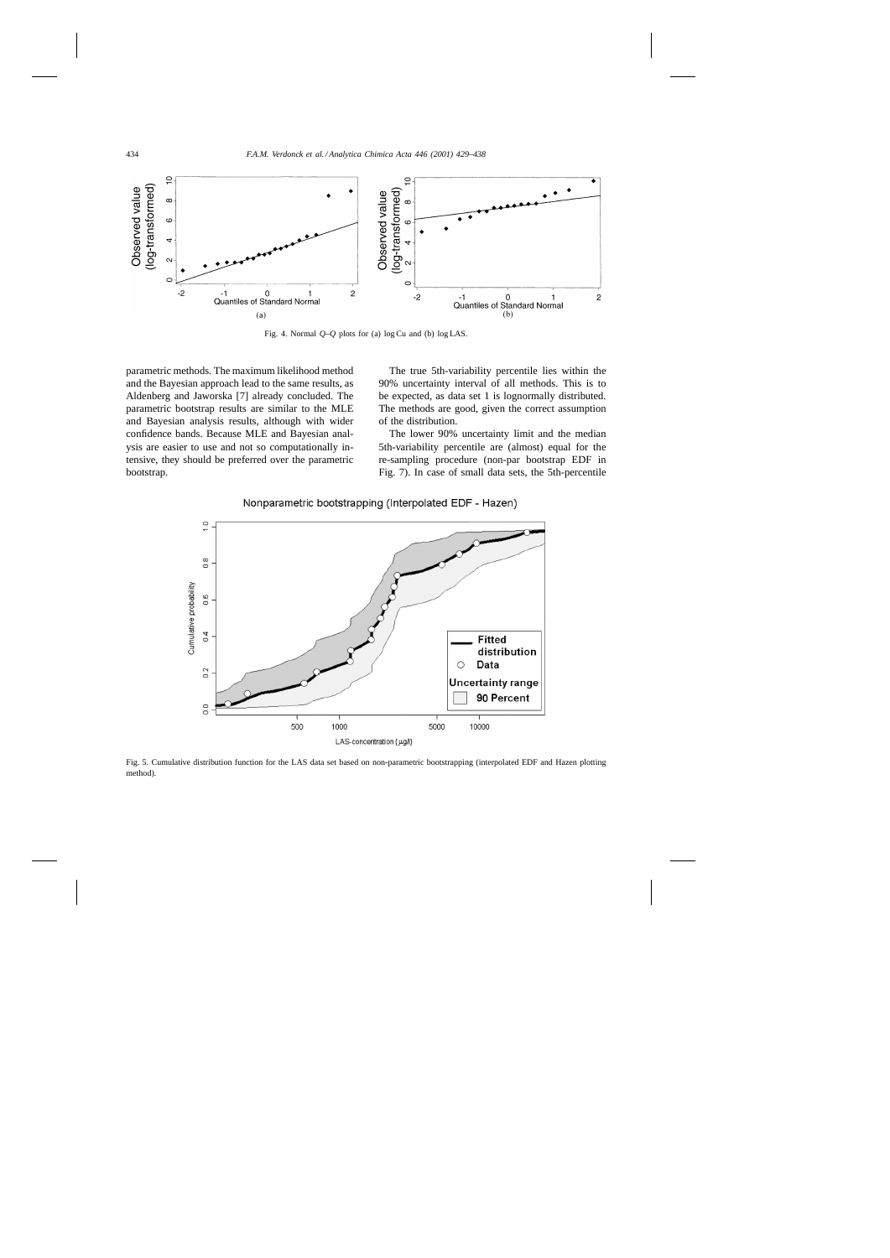

Fig. 4. Normal *Q*–*Q* plots for (a) log Cu and (b) log LAS.

parametric methods. The maximum likelihood method and the Bayesian approach lead to the same results, as Aldenberg and Jaworska [7] already concluded. The parametric bootstrap results are similar to the MLE and Bayesian analysis results, although with wider confidence bands. Because MLE and Bayesian analysis are easier to use and not so computationally intensive, they should be preferred over the parametric bootstrap.

The true 5th-variability percentile lies within the 90% uncertainty interval of all methods. This is to be expected, as data set 1 is lognormally distributed. The methods are good, given the correct assumption of the distribution.

The lower 90% uncertainty limit and the median 5th-variability percentile are (almost) equal for the re-sampling procedure (non-par bootstrap EDF in Fig. 7). In case of small data sets, the 5th-percentile



Nonparametric bootstrapping (Interpolated EDF - Hazen)

Fig. 5. Cumulative distribution function for the LAS data set based on non-parametric bootstrapping (interpolated EDF and Hazen plotting method).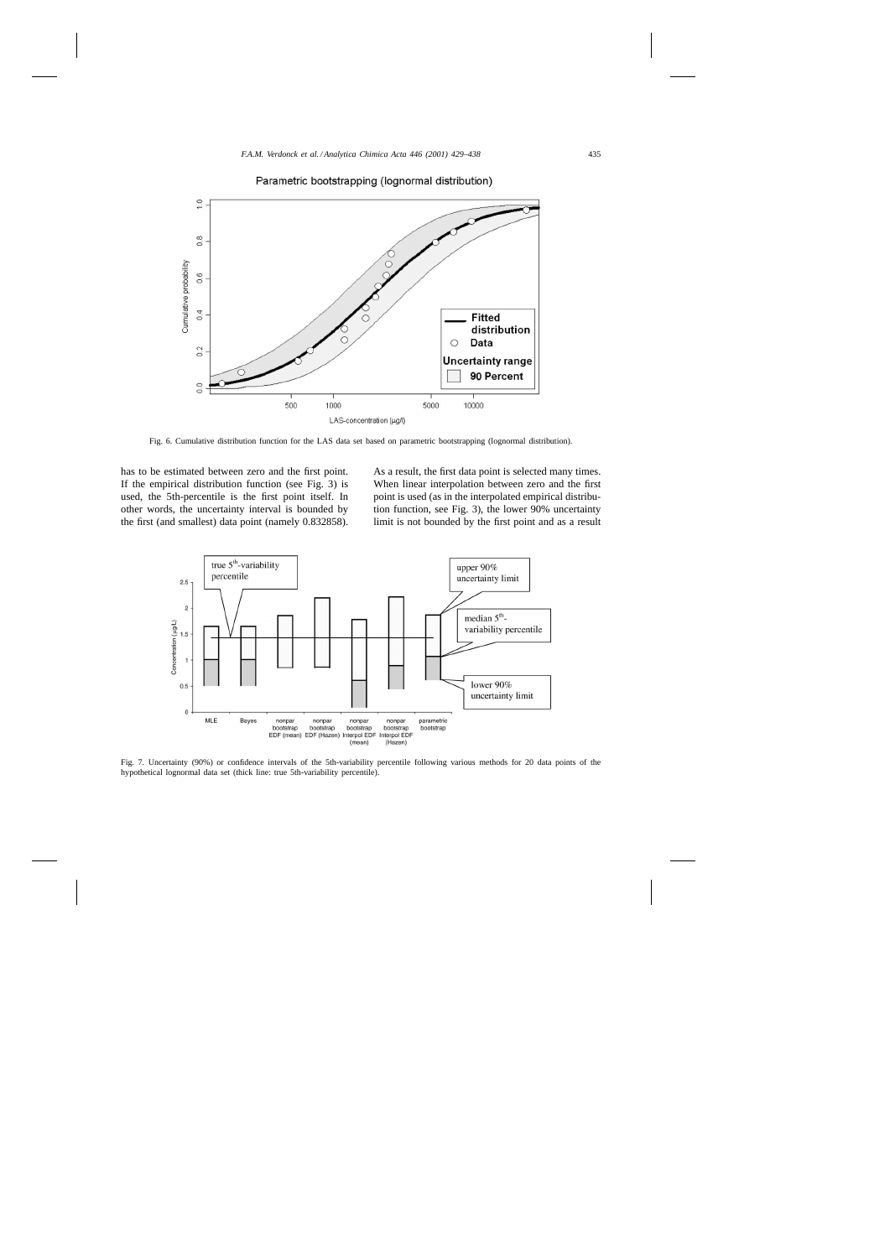

Parametric bootstrapping (lognormal distribution)

Fig. 6. Cumulative distribution function for the LAS data set based on parametric bootstrapping (lognormal distribution).

has to be estimated between zero and the first point. If the empirical distribution function (see Fig. 3) is used, the 5th-percentile is the first point itself. In other words, the uncertainty interval is bounded by the first (and smallest) data point (namely 0.832858). As a result, the first data point is selected many times. When linear interpolation between zero and the first point is used (as in the interpolated empirical distribution function, see Fig. 3), the lower 90% uncertainty limit is not bounded by the first point and as a result



Fig. 7. Uncertainty (90%) or confidence intervals of the 5th-variability percentile following various methods for 20 data points of the hypothetical lognormal data set (thick line: true 5th-variability percentile).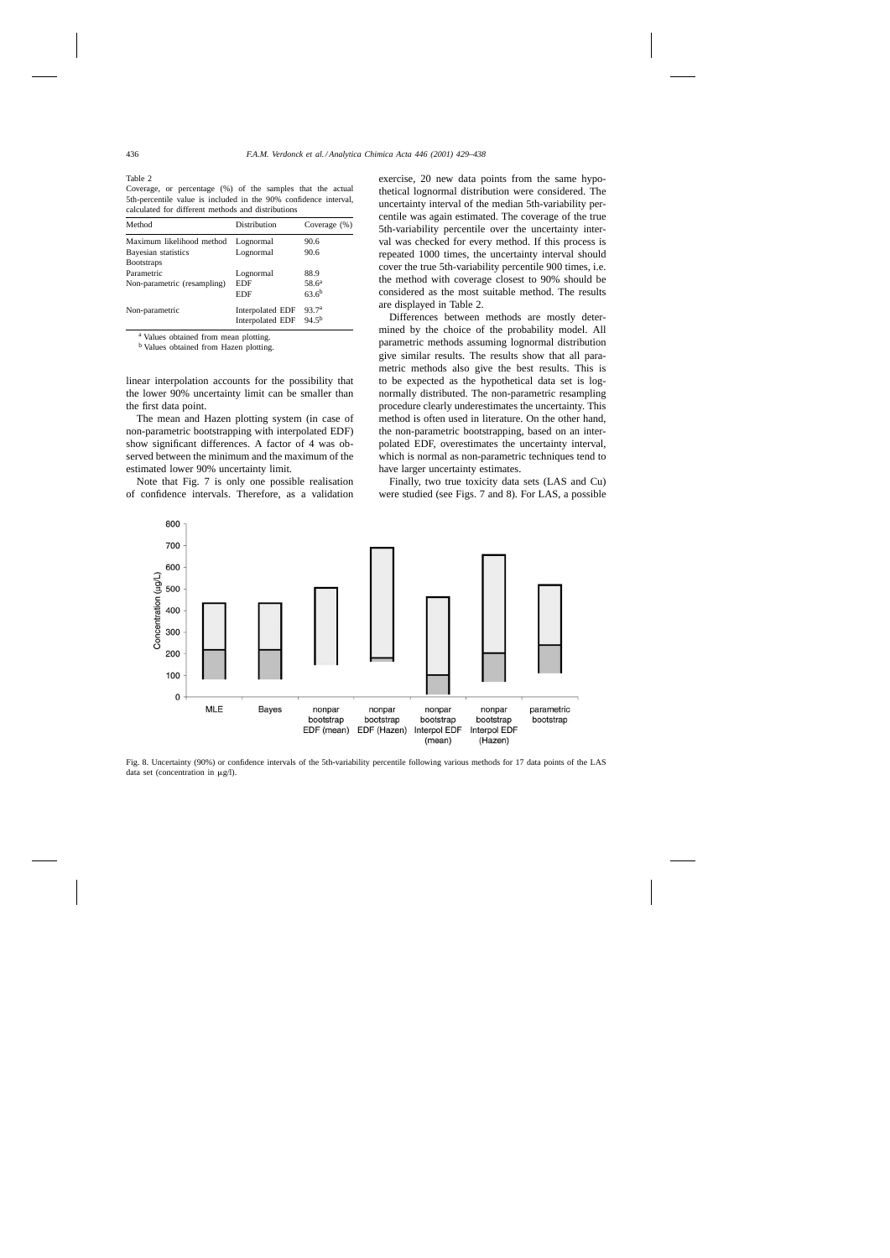Table 2

Coverage, or percentage (%) of the samples that the actual 5th-percentile value is included in the 90% confidence interval, calculated for different methods and distributions

| Method                                    | Distribution                                | Coverage $(\%)$                 |
|-------------------------------------------|---------------------------------------------|---------------------------------|
| Maximum likelihood method                 | Lognormal                                   | 90.6                            |
| Bayesian statistics<br><b>B</b> ootstraps | Lognormal                                   | 90.6                            |
| Parametric                                | Lognormal                                   | 88.9                            |
| Non-parametric (resampling)               | EDF<br><b>EDF</b>                           | $58.6^a$<br>$63.6^{b}$          |
| Non-parametric                            | Interpolated EDF<br><b>Interpolated EDF</b> | 93.7 <sup>a</sup><br>$94.5^{b}$ |

<sup>a</sup> Values obtained from mean plotting.

<sup>b</sup> Values obtained from Hazen plotting.

linear interpolation accounts for the possibility that the lower 90% uncertainty limit can be smaller than the first data point.

The mean and Hazen plotting system (in case of non-parametric bootstrapping with interpolated EDF) show significant differences. A factor of 4 was observed between the minimum and the maximum of the estimated lower 90% uncertainty limit.

Note that Fig. 7 is only one possible realisation of confidence intervals. Therefore, as a validation exercise, 20 new data points from the same hypothetical lognormal distribution were considered. The uncertainty interval of the median 5th-variability percentile was again estimated. The coverage of the true 5th-variability percentile over the uncertainty interval was checked for every method. If this process is repeated 1000 times, the uncertainty interval should cover the true 5th-variability percentile 900 times, i.e. the method with coverage closest to 90% should be considered as the most suitable method. The results are displayed in Table 2.

Differences between methods are mostly determined by the choice of the probability model. All parametric methods assuming lognormal distribution give similar results. The results show that all parametric methods also give the best results. This is to be expected as the hypothetical data set is lognormally distributed. The non-parametric resampling procedure clearly underestimates the uncertainty. This method is often used in literature. On the other hand, the non-parametric bootstrapping, based on an interpolated EDF, overestimates the uncertainty interval, which is normal as non-parametric techniques tend to have larger uncertainty estimates.

Finally, two true toxicity data sets (LAS and Cu) were studied (see Figs. 7 and 8). For LAS, a possible



Fig. 8. Uncertainty (90%) or confidence intervals of the 5th-variability percentile following various methods for 17 data points of the LAS data set (concentration in  $\mu$ g/l).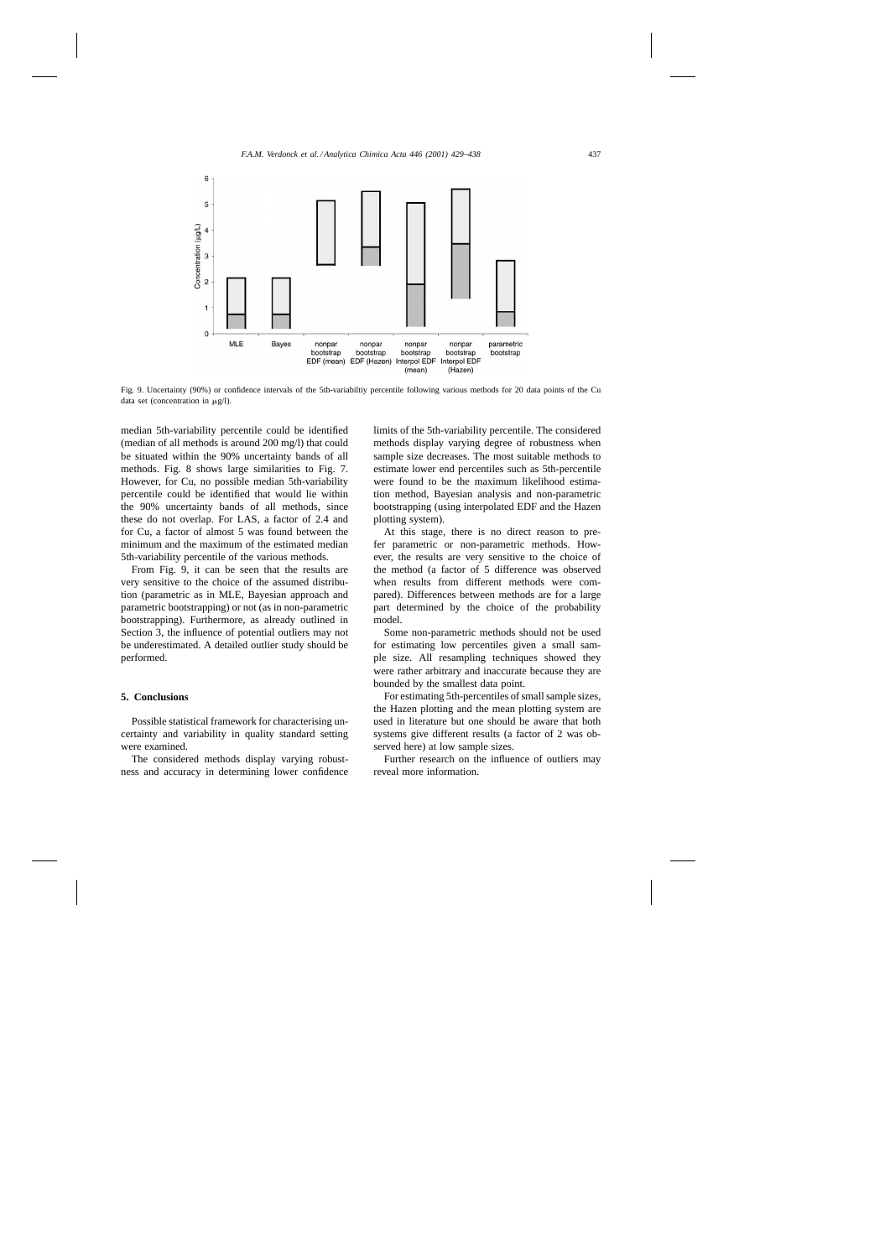

Fig. 9. Uncertainty (90%) or confidence intervals of the 5th-variabiltiy percentile following various methods for 20 data points of the Cu data set (concentration in  $\mu$ g/l).

median 5th-variability percentile could be identified (median of all methods is around 200 mg/l) that could be situated within the 90% uncertainty bands of all methods. Fig. 8 shows large similarities to Fig. 7. However, for Cu, no possible median 5th-variability percentile could be identified that would lie within the 90% uncertainty bands of all methods, since these do not overlap. For LAS, a factor of 2.4 and for Cu, a factor of almost 5 was found between the minimum and the maximum of the estimated median 5th-variability percentile of the various methods.

From Fig. 9, it can be seen that the results are very sensitive to the choice of the assumed distribution (parametric as in MLE, Bayesian approach and parametric bootstrapping) or not (as in non-parametric bootstrapping). Furthermore, as already outlined in Section 3, the influence of potential outliers may not be underestimated. A detailed outlier study should be performed.

# **5. Conclusions**

Possible statistical framework for characterising uncertainty and variability in quality standard setting were examined.

The considered methods display varying robustness and accuracy in determining lower confidence limits of the 5th-variability percentile. The considered methods display varying degree of robustness when sample size decreases. The most suitable methods to estimate lower end percentiles such as 5th-percentile were found to be the maximum likelihood estimation method, Bayesian analysis and non-parametric bootstrapping (using interpolated EDF and the Hazen plotting system).

At this stage, there is no direct reason to prefer parametric or non-parametric methods. However, the results are very sensitive to the choice of the method (a factor of 5 difference was observed when results from different methods were compared). Differences between methods are for a large part determined by the choice of the probability model.

Some non-parametric methods should not be used for estimating low percentiles given a small sample size. All resampling techniques showed they were rather arbitrary and inaccurate because they are bounded by the smallest data point.

For estimating 5th-percentiles of small sample sizes, the Hazen plotting and the mean plotting system are used in literature but one should be aware that both systems give different results (a factor of 2 was observed here) at low sample sizes.

Further research on the influence of outliers may reveal more information.